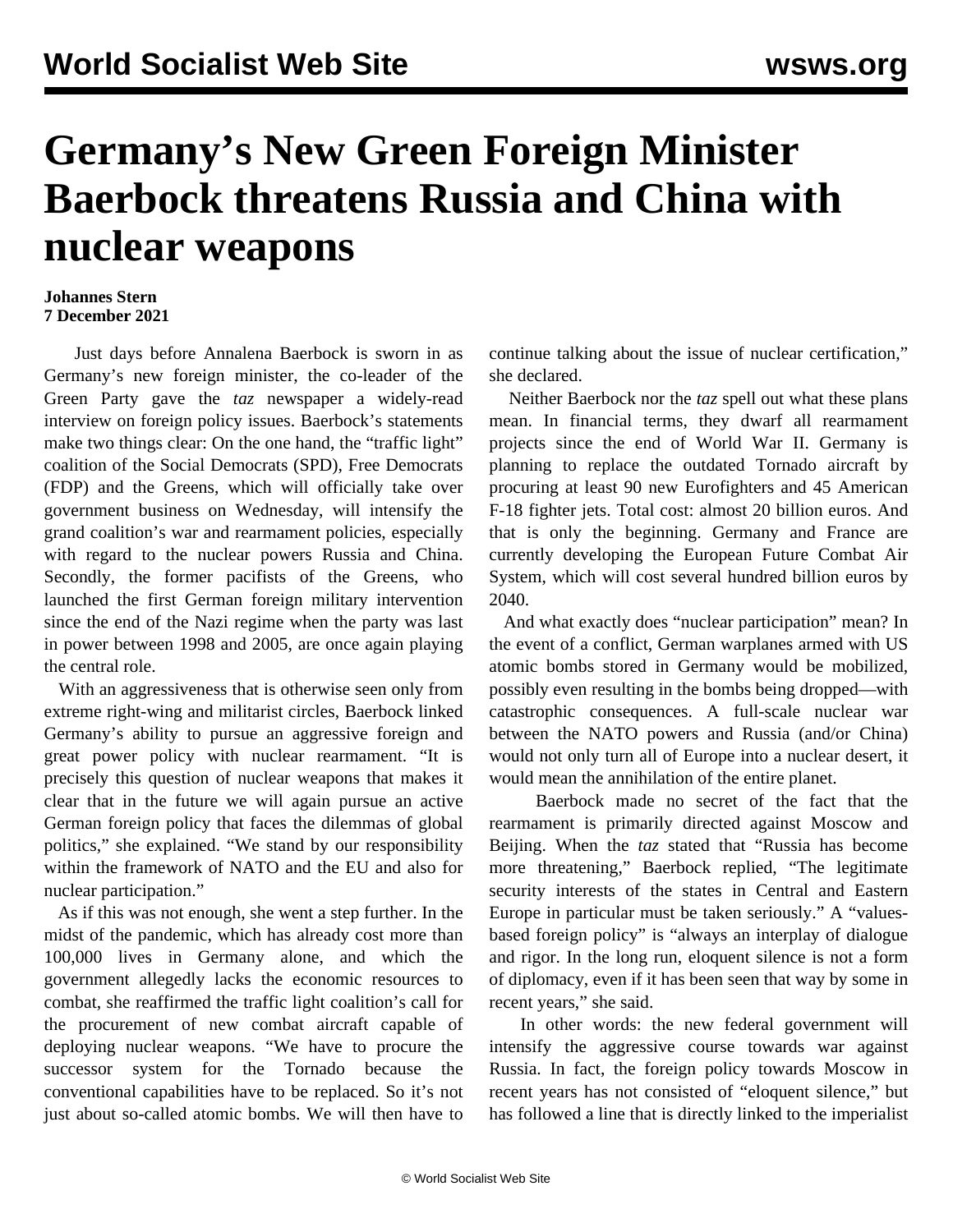## **Germany's New Green Foreign Minister Baerbock threatens Russia and China with nuclear weapons**

## **Johannes Stern 7 December 2021**

 Just days before Annalena Baerbock is sworn in as Germany's new foreign minister, the co-leader of the Green Party gave the *taz* newspaper a widely-read interview on foreign policy issues. Baerbock's statements make two things clear: On the one hand, the "traffic light" coalition of the Social Democrats (SPD), Free Democrats (FDP) and the Greens, which will officially take over government business on Wednesday, will intensify the grand coalition's war and rearmament policies, especially with regard to the nuclear powers Russia and China. Secondly, the former pacifists of the Greens, who launched the first German foreign military intervention since the end of the Nazi regime when the party was last in power between 1998 and 2005, are once again playing the central role.

 With an aggressiveness that is otherwise seen only from extreme right-wing and militarist circles, Baerbock linked Germany's ability to pursue an aggressive foreign and great power policy with nuclear rearmament. "It is precisely this question of nuclear weapons that makes it clear that in the future we will again pursue an active German foreign policy that faces the dilemmas of global politics," she explained. "We stand by our responsibility within the framework of NATO and the EU and also for nuclear participation."

 As if this was not enough, she went a step further. In the midst of the pandemic, which has already cost more than 100,000 lives in Germany alone, and which the government allegedly lacks the economic resources to combat, she reaffirmed the traffic light coalition's call for the procurement of new combat aircraft capable of deploying nuclear weapons. "We have to procure the successor system for the Tornado because the conventional capabilities have to be replaced. So it's not just about so-called atomic bombs. We will then have to

continue talking about the issue of nuclear certification," she declared.

 Neither Baerbock nor the *taz* spell out what these plans mean. In financial terms, they dwarf all rearmament projects since the end of World War II. Germany is planning to replace the outdated Tornado aircraft by procuring at least 90 new Eurofighters and 45 American F-18 fighter jets. Total cost: almost 20 billion euros. And that is only the beginning. Germany and France are currently developing the European Future Combat Air System, which will cost several hundred billion euros by 2040.

 And what exactly does "nuclear participation" mean? In the event of a conflict, German warplanes armed with US atomic bombs stored in Germany would be mobilized, possibly even resulting in the bombs being dropped—with catastrophic consequences. A full-scale nuclear war between the NATO powers and Russia (and/or China) would not only turn all of Europe into a nuclear desert, it would mean the annihilation of the entire planet.

 Baerbock made no secret of the fact that the rearmament is primarily directed against Moscow and Beijing. When the *taz* stated that "Russia has become more threatening," Baerbock replied, "The legitimate security interests of the states in Central and Eastern Europe in particular must be taken seriously." A "valuesbased foreign policy" is "always an interplay of dialogue and rigor. In the long run, eloquent silence is not a form of diplomacy, even if it has been seen that way by some in recent years," she said.

 In other words: the new federal government will intensify the aggressive course towards war against Russia. In fact, the foreign policy towards Moscow in recent years has not consisted of "eloquent silence," but has followed a line that is directly linked to the imperialist